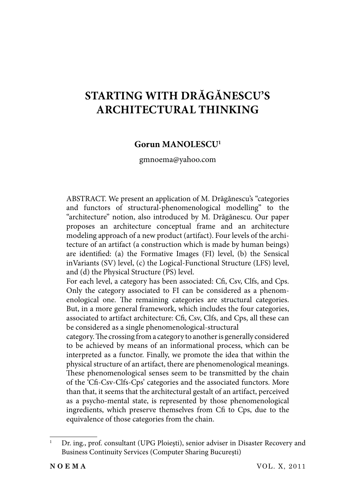# **STARTING WITH DRĂGĂNESCU'S ARCHITECTURAL THINKING**

## **Gorun MANOLESCU1**

gmnoema@yahoo.com

ABSTRACT. We present an application of M. Drăgănescu's "categories and functors of structural-phenomenological modelling" to the "architecture" notion, also introduced by M. Drăgănescu. Our paper proposes an architecture conceptual frame and an architecture modeling approach of a new product (artifact). Four levels of the architecture of an artifact (a construction which is made by human beings) are identified: (a) the Formative Images (FI) level, (b) the Sensical inVariants (SV) level, (c) the Logical-Functional Structure (LFS) level, and (d) the Physical Structure (PS) level.

For each level, a category has been associated: Cfi, Csv, Clfs, and Cps. Only the category associated to FI can be considered as a phenomenological one. The remaining categories are structural categories. But, in a more general framework, which includes the four categories, associated to artifact architecture: Cfi, Csv, Clfs, and Cps, all these can be considered as a single phenomenological-structural

category. The crossing from a category to another is generally considered to be achieved by means of an informational process, which can be interpreted as a functor. Finally, we promote the idea that within the physical structure of an artifact, there are phenomenological meanings. These phenomenological senses seem to be transmitted by the chain of the 'Cfi -Csv-Clfs-Cps' categories and the associated functors. More than that, it seems that the architectural gestalt of an artifact, perceived as a psycho-mental state, is represented by those phenomenological ingredients, which preserve themselves from Cfi to Cps, due to the equivalence of those categories from the chain.

<sup>1</sup> Dr. ing., prof. consultant (UPG Ploieşti), senior adviser in Disaster Recovery and Business Continuity Services (Computer Sharing Bucureşti)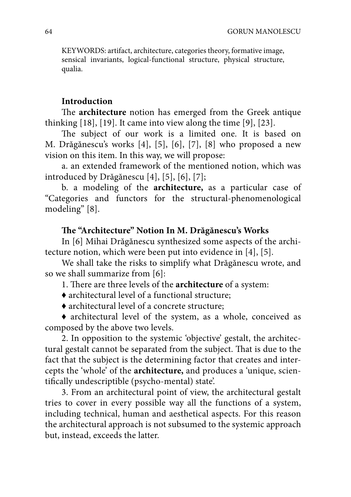KEYWORDS: artifact, architecture, categories theory, formative image, sensical invariants, logical-functional structure, physical structure, qualia.

#### **Introduction**

The **architecture** notion has emerged from the Greek antique thinking [18], [19]. It came into view along the time [9], [23].

The subject of our work is a limited one. It is based on M. Drăgănescu's works [4], [5], [6], [7], [8] who proposed a new vision on this item. In this way, we will propose:

a. an extended framework of the mentioned notion, which was introduced by Drăgănescu [4], [5], [6], [7];

b. a modeling of the **architecture,** as a particular case of "Categories and functors for the structural-phenomenological modeling" [8].

## The "Architecture" Notion In M. Drăgănescu's Works

In [6] Mihai Drăgănescu synthesized some aspects of the architecture notion, which were been put into evidence in [4], [5].

We shall take the risks to simplify what Drăgănescu wrote, and so we shall summarize from [6]:

1. There are three levels of the **architecture** of a system:

- ♦ architectural level of a functional structure;
- ♦ architectural level of a concrete structure;

♦ architectural level of the system, as a whole, conceived as composed by the above two levels.

2. In opposition to the systemic 'objective' gestalt, the architectural gestalt cannot be separated from the subject. That is due to the fact that the subject is the determining factor that creates and intercepts the 'whole' of the **architecture,** and produces a 'unique, scientifically undescriptible (psycho-mental) state'.

3. From an architectural point of view, the architectural gestalt tries to cover in every possible way all the functions of a system, including technical, human and aesthetical aspects. For this reason the architectural approach is not subsumed to the systemic approach but, instead, exceeds the latter.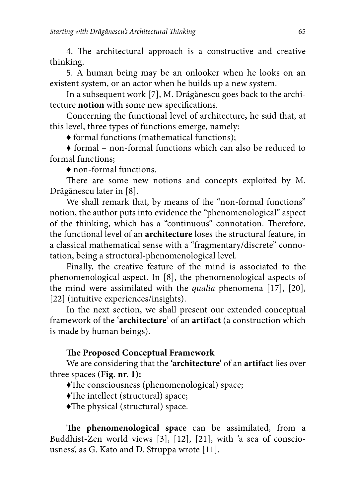4. The architectural approach is a constructive and creative thinking.

5. A human being may be an onlooker when he looks on an existent system, or an actor when he builds up a new system.

In a subsequent work [7], M. Drăgănescu goes back to the architecture **notion** with some new specifications.

Concerning the functional level of architecture**,** he said that, at this level, three types of functions emerge, namely:

♦ formal functions (mathematical functions);

♦ formal – non-formal functions which can also be reduced to formal functions;

♦ non-formal functions.

There are some new notions and concepts exploited by M. Drăgănescu later in [8].

We shall remark that, by means of the "non-formal functions" notion, the author puts into evidence the "phenomenological" aspect of the thinking, which has a "continuous" connotation. Therefore, the functional level of an **architecture** loses the structural feature, in a classical mathematical sense with a "fragmentary/discrete" connotation, being a structural-phenomenological level.

Finally, the creative feature of the mind is associated to the phenomenological aspect. In [8], the phenomenological aspects of the mind were assimilated with the *qualia* phenomena [17], [20], [22] (intuitive experiences/insights).

In the next section, we shall present our extended conceptual framework of the '**architecture**' of an **artifact** (a construction which is made by human beings).

#### **The Proposed Conceptual Framework**

We are considering that the **'architecture'** of an **artifact** lies over three spaces (**Fig. nr. 1):**

- $\blacklozenge$ The consciousness (phenomenological) space;
- $\blacklozenge$ The intellect (structural) space;
- $\blacklozenge$ The physical (structural) space.

The phenomenological space can be assimilated, from a Buddhist-Zen world views [3], [12], [21], with 'a sea of consciousness', as G. Kato and D. Struppa wrote [11].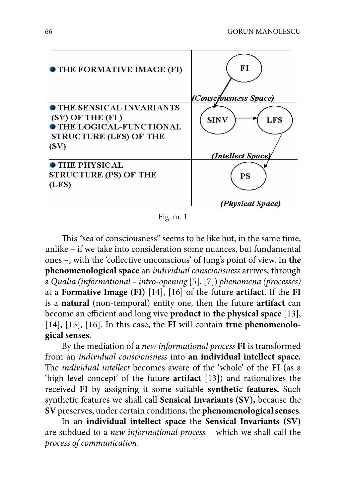

Fig. nr. 1

This "sea of consciousness" seems to be like but, in the same time, unlike – if we take into consideration some nuances, but fundamental ones –, with the 'collective unconscious' of Jung's point of view. In **the phenomenological space** an *individual consciousness* arrives, through a *Qualia (informational – intro-opening* [5], [7]) *phenomena (processes)*  at a **Formative Image (FI)** [14], [16] of the future **artifact**. If the **FI**  is a **natural** (non-temporal) entity one, then the future **artifact** can become an efficient and long vive **product** in the physical space [13], [14], [15], [16]. In this case, the **FI** will contain **true phenomenological senses**.

By the mediation of a *new informational process* **FI** is transformed from an *individual consciousness* into **an individual intellect space.**  The *individual intellect* becomes aware of the 'whole' of the **FI** (as a 'high level concept' of the future **artifact** [13]) and rationalizes the received **FI** by assigning it some suitable **synthetic features.** Such synthetic features we shall call **Sensical Invariants (SV),** because the **SV** preserves, under certain conditions, the **phenomenological senses**.

In an **individual intellect space** the **Sensical Invariants (SV)**  are subdued to a *new informational process* – which we shall call the *process of communication*.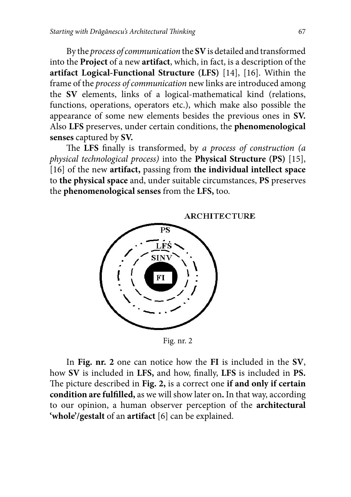By the *process of communication* the **SV** is detailed and transformed into the **Project** of a new **artifact**, which, in fact, is a description of the **artifact Logical-Functional Structure (LFS)** [14], [16]. Within the frame of the *process of communication* new links are introduced among the **SV** elements, links of a logical-mathematical kind (relations, functions, operations, operators etc.), which make also possible the appearance of some new elements besides the previous ones in **SV.**  Also **LFS** preserves, under certain conditions, the **phenomenological senses** captured by **SV.**

The LFS finally is transformed, by *a process of construction (a physical technological process)* into the **Physical Structure (PS)** [15], [16] of the new **artifact,** passing from **the individual intellect space**  to **the physical space** and, under suitable circumstances, **PS** preserves the **phenomenological senses** from the **LFS,** too.

**ARCHITECTURE** 



Fig. nr. 2

In **Fig. nr. 2** one can notice how the **FI** is included in the **SV**, how SV is included in LFS, and how, finally, LFS is included in PS. The picture described in Fig. 2, is a correct one **if and only if certain** condition are fulfilled, as we will show later on. In that way, according to our opinion, a human observer perception of the **architectural 'whole'/gestalt** of an **artifact** [6] can be explained.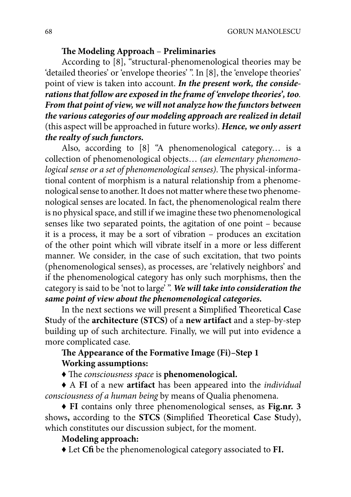## The Modeling Approach – Preliminaries

According to [8], "structural-phenomenological theories may be 'detailed theories' or 'envelope theories' ". In [8], the 'envelope theories' point of view is taken into account. *In the present work, the considerations that follow are exposed in the frame of 'envelope theories', too. From that point of view, we will not analyze how the functors between the various categories of our modeling approach are realized in detail*  (this aspect will be approached in future works). *Hence, we only assert the realty of such functors.*

Also, according to [8] "A phenomenological category… is a collection of phenomenological objects… *(an elementary phenomenological sense or a set of phenomenological senses*). The physical-informational content of morphism is a natural relationship from a phenomenological sense to another. It does not matter where these two phenomenological senses are located. In fact, the phenomenological realm there is no physical space, and still if we imagine these two phenomenological senses like two separated points, the agitation of one point – because it is a process, it may be a sort of vibration – produces an excitation of the other point which will vibrate itself in a more or less different manner. We consider, in the case of such excitation, that two points (phenomenological senses), as processes, are 'relatively neighbors' and if the phenomenological category has only such morphisms, then the category is said to be 'not to large' ". *We will take into consideration the same point of view about the phenomenological categories.*

In the next sections we will present a Simplified Theoretical Case **S**tudy of the **architecture (STCS)** of a **new artifact** and a step-by-step building up of such architecture. Finally, we will put into evidence a more complicated case.

# The Appearance of the Formative Image (Fi)-Step 1 **Working assumptions:**

 $\triangle$  The *consciousness space* is **phenomenological**.

♦ A **FI** of a new **artifact** has been appeared into the *individual consciousness of a human being* by means of Qualia phenomena.

♦ **FI** contains only three phenomenological senses, as **Fig.nr. 3**  shows, according to the **STCS** (Simplified Theoretical Case Study), which constitutes our discussion subject, for the moment.

# **Modeling approach:**

♦ Let **Cfi** be the phenomenological category associated to **FI.**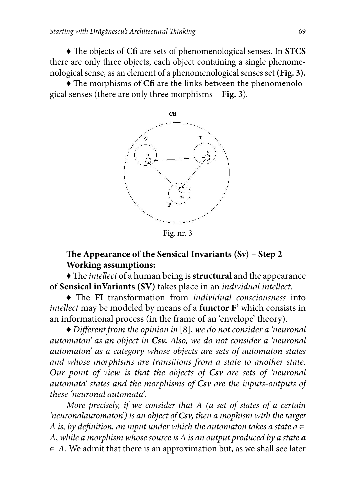$\blacklozenge$  The objects of Cfi are sets of phenomenological senses. In **STCS** there are only three objects, each object containing a single phenomenological sense, as an element of a phenomenological senses set **(Fig. 3).**

• The morphisms of **Cfi** are the links between the phenomenological senses (there are only three morphisms – **Fig. 3**).



Fig. nr. 3

# The Appearance of the Sensical Invariants (Sv) – Step 2 **Working assumptions:**

 $\blacklozenge$  The *intellect* of a human being is **structural** and the appearance of **Sensical inVariants (SV)** takes place in an *individual intellect*.

 $\blacklozenge$  The FI transformation from *individual consciousness* into *intellect* may be modeled by means of a **functor F'** which consists in an informational process (in the frame of an 'envelope' theory).

♦ *Diff erent from the opinion in* [8], *we do not consider a 'neuronal automaton' as an object in Csv. Also, we do not consider a 'neuronal automaton' as a category whose objects are sets of automaton states and whose morphisms are transitions from a state to another state. Our point of view is that the objects of Csv are sets of 'neuronal automata' states and the morphisms of Csv are the inputs-outputs of these 'neuronal automata'.*

*More precisely, if we consider that A (a set of states of a certain 'neuronalautomaton') is an object of Csv, then a mophism with the target A is, by definition, an input under which the automaton takes a state a*  $\in$ *A*, *while a morphism whose source is A is an output produced by a state a*  ∈ *A.* We admit that there is an approximation but, as we shall see later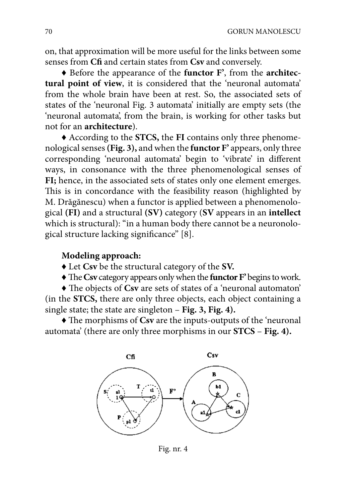on, that approximation will be more useful for the links between some senses from **Cfi** and certain states from **Csv** and conversely.

♦ Before the appearance of the **functor F'**, from the **architectural point of view**, it is considered that the 'neuronal automata' from the whole brain have been at rest. So, the associated sets of states of the 'neuronal Fig. 3 automata' initially are empty sets (the 'neuronal automata', from the brain, is working for other tasks but not for an **architecture**).

♦ According to the **STCS,** the **FI** contains only three phenomenological senses **(Fig. 3),** and when the **functor F'** appears, only three corresponding 'neuronal automata' begin to 'vibrate' in different ways, in consonance with the three phenomenological senses of FI; hence, in the associated sets of states only one element emerges. This is in concordance with the feasibility reason (highlighted by M. Drăgănescu) when a functor is applied between a phenomenological **(FI)** and a structural **(SV)** category (**SV** appears in an **intellect**  which is structural): "in a human body there cannot be a neuronological structure lacking significance" [8].

## **Modeling approach:**

- ♦ Let **Csv** be the structural category of the **SV.**
- $\blacklozenge$  The Csv category appears only when the **functor** F' begins to work.

 $\blacklozenge$  The objects of Csv are sets of states of a 'neuronal automaton' (in the **STCS,** there are only three objects, each object containing a single state; the state are singleton – **Fig. 3, Fig. 4).**

 $\triangle$  The morphisms of Csv are the inputs-outputs of the 'neuronal automata' (there are only three morphisms in our **STCS** – **Fig. 4).**



Fig. nr. 4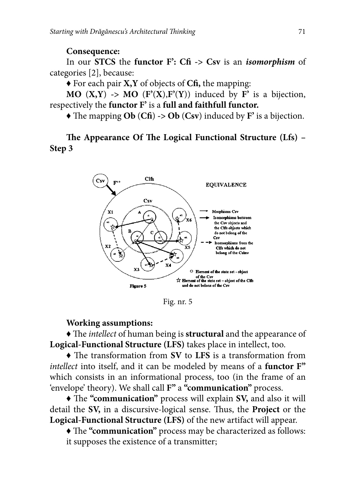#### **Consequence:**

In our **STCS** the **functor F': Cfi -> Csv** is an *isomorphism* of categories [2], because:

♦ For each pair **X,Y** of objects of **Cfi ,** the mapping:

**MO**  $(X, Y) \rightarrow MO$   $(F'(X), F'(Y))$  induced by  $F'$  is a bijection, respectively the **functor F'** is a **full and faithfull functor.**

 $\blacklozenge$  The mapping **Ob** (**Cfi**)  $\blacktriangleright$  **Ob** (**Csv**) induced by **F**' is a bijection.

The Appearance Of The Logical Functional Structure (Lfs) – **Step 3**



Fig. nr. 5

#### **Working assumptions:**

• The *intellect* of human being is **structural** and the appearance of **Logical-Functional Structure (LFS)** takes place in intellect, too.

• The transformation from **SV** to LFS is a transformation from *intellect into itself, and it can be modeled by means of a functor*  $F''$ which consists in an informational process, too (in the frame of an 'envelope' theory). We shall call **F"** a **"communication"** process.

 $\triangle$  The "communication" process will explain SV, and also it will detail the SV, in a discursive-logical sense. Thus, the Project or the **Logical-Functional Structure (LFS)** of the new artifact will appear.

• The "**communication**" process may be characterized as follows: it supposes the existence of a transmitter;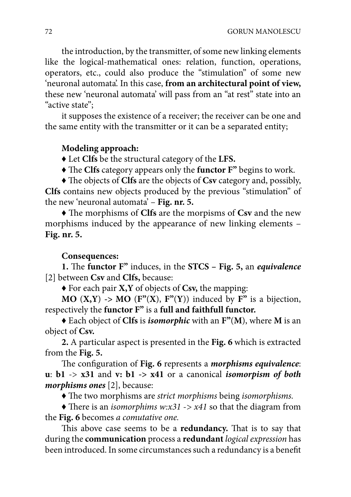the introduction, by the transmitter, of some new linking elements like the logical-mathematical ones: relation, function, operations, operators, etc., could also produce the "stimulation" of some new 'neuronal automata'. In this case, **from an architectural point of view,**  these new 'neuronal automata' will pass from an "at rest" state into an "active state";

it supposes the existence of a receiver; the receiver can be one and the same entity with the transmitter or it can be a separated entity;

## **Modeling approach:**

♦ Let **Clfs** be the structural category of the **LFS.**

 $\blacklozenge$  The Clfs category appears only the **functor F**" begins to work.

• The objects of **Clfs** are the objects of **Csv** category and, possibly, **Clfs** contains new objects produced by the previous "stimulation" of the new 'neuronal automata' – **Fig. nr. 5.**

 $\blacklozenge$  The morphisms of **Clfs** are the morpisms of **Csv** and the new morphisms induced by the appearance of new linking elements – **Fig. nr. 5.**

# **Consequences:**

**1.** The **functor** F<sup>"</sup> induces, in the **STCS** – Fig. 5, an *equivalence* [2] between **Csv** and **Clfs,** because:

♦ For each pair **X,Y** of objects of **Csv,** the mapping:

**MO**  $(X, Y) \rightarrow MO$   $(F''(X), F''(Y))$  induced by  $F''$  is a bijection, respectively the **functor F"** is a **full and faithfull functor.**

♦ Each object of **Clfs** is *isomorphic* with an **F"**(**M**), where **M** is an object of **Csv.**

**2.** A particular aspect is presented in the **Fig. 6** which is extracted from the **Fig. 5.**

The configuration of Fig. 6 represents a *morphisms equivalence*: **u**: **b1** -> **x31** and **v: b1 -> x41** or a canonical *isomorpism of both morphisms ones* [2], because:

 $\triangle$  The two morphisms are *strict morphisms* being *isomorphisms*.

 $\triangle$  There is an *isomorphims w:x31* -> *x41* so that the diagram from the **Fig. 6** becomes *a comutative one.*

This above case seems to be a **redundancy**. That is to say that during the **communication** process a **redundant** *logical expression* has been introduced. In some circumstances such a redundancy is a benefit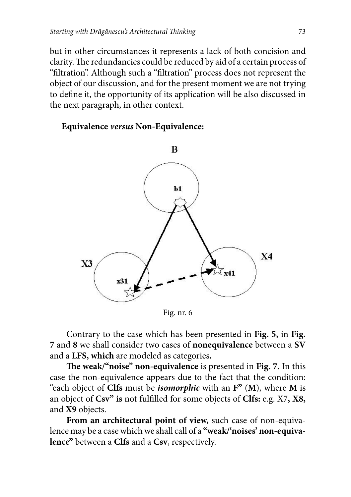but in other circumstances it represents a lack of both concision and clarity. The redundancies could be reduced by aid of a certain process of "filtration". Although such a "filtration" process does not represent the object of our discussion, and for the present moment we are not trying to define it, the opportunity of its application will be also discussed in the next paragraph, in other context.

**Equivalence** *versus* **Non-Equivalence:**



Fig. nr. 6

Contrary to the case which has been presented in **Fig. 5,** in **Fig. 7** and **8** we shall consider two cases of **nonequivalence** between a **SV**  and a **LFS, which** are modeled as categories**.**

The weak/"noise" non-equivalence is presented in Fig. 7. In this case the non-equivalence appears due to the fact that the condition: "each object of **Clfs** must be *isomorphic* with an **F"** (**M**), where **M** is an object of Csv" is not fulfilled for some objects of Clfs: e.g. X7, X8, and **X9** objects.

**From an architectural point of view,** such case of non-equivalence may be a case which we shall call of a **"weak/'noises' non-equivalence"** between a **Clfs** and a **Csv**, respectively.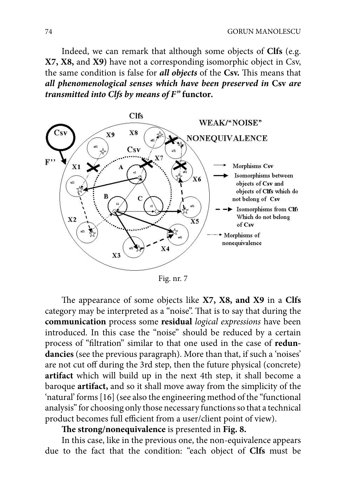Indeed, we can remark that although some objects of **Clfs** (e.g. **X7, X8,** and **X9)** have not a corresponding isomorphic object in Csv, the same condition is false for *all objects* of the Csv. This means that *all phenomenological senses which have been preserved in* **Csv** *are transmitted into Clfs by means of F"* **functor***.*



Fig. nr. 7

The appearance of some objects like **X7, X8, and X9** in a Clfs category may be interpreted as a "noise". That is to say that during the **communication** process some **residual** *logical expressions* have been introduced. In this case the "noise" should be reduced by a certain process of "filtration" similar to that one used in the case of *redun***dancies** (see the previous paragraph). More than that, if such a 'noises' are not cut off during the 3rd step, then the future physical (concrete) **artifact** which will build up in the next 4th step, it shall become a baroque **artifact,** and so it shall move away from the simplicity of the 'natural' forms [16] (see also the engineering method of the "functional analysis" for choosing only those necessary functions so that a technical product becomes full efficient from a user/client point of view).

# The strong/nonequivalence is presented in Fig. 8.

In this case, like in the previous one, the non-equivalence appears due to the fact that the condition: "each object of **Clfs** must be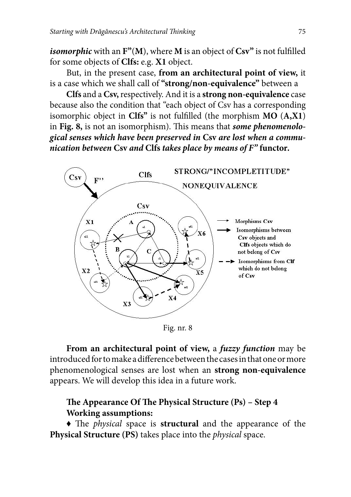*isomorphic* with an  $F''(M)$ , where M is an object of Csv" is not fulfilled for some objects of **Clfs:** e.g. **X1** object.

But, in the present case, **from an architectural point of view,** it is a case which we shall call of **"strong/non-equivalence"** between a

**Clfs** and a **Csv,** respectively. And it is a **strong non-equivalence** case because also the condition that "each object of Csv has a corresponding isomorphic object in  $Clfs''$  is not fulfilled (the morphism  $MO(A,X1)$ ) in Fig. 8, is not an isomorphism). This means that *some phenomenological senses which have been preserved in* **Csv** *are lost when a communication between* **Csv** *and* **Clfs** *takes place by means of F"* **functor***.* 



Fig. nr. 8

**From an architectural point of view,** a *fuzzy function* may be introduced for to make a difference between the cases in that one or more phenomenological senses are lost when an **strong non-equivalence**  appears. We will develop this idea in a future work.

# The Appearance Of The Physical Structure (Ps) - Step 4 **Working assumptions:**

• The *physical* space is **structural** and the appearance of the **Physical Structure (PS)** takes place into the *physical* space.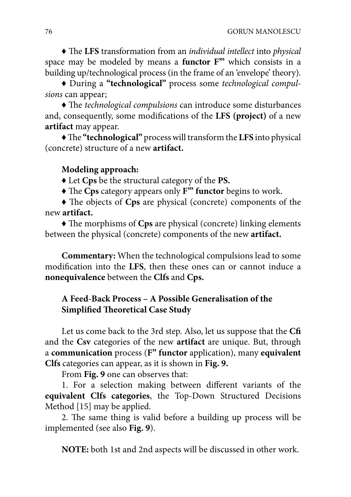$\triangle$  The LFS transformation from an *individual intellect* into *physical* space may be modeled by means a **functor F'"** which consists in a building up/technological process (in the frame of an 'envelope' theory).

♦ During a **"technological"** process some *technological compulsions* can appear;

 $\triangle$  The *technological compulsions* can introduce some disturbances and, consequently, some modifications of the LFS (project) of a new **artifact** may appear.

 $\blacklozenge$  The "technological" process will transform the LFS into physical (concrete) structure of a new **artifact.**

### **Modeling approach:**

♦ Let **Cps** be the structural category of the **PS.**

 $\blacklozenge$  The Cps category appears only F<sup>"</sup> functor begins to work.

 $\blacklozenge$  The objects of Cps are physical (concrete) components of the new **artifact.**

 $\blacklozenge$  The morphisms of Cps are physical (concrete) linking elements between the physical (concrete) components of the new **artifact.**

**Commentary:** When the technological compulsions lead to some modification into the LFS, then these ones can or cannot induce a **nonequivalence** between the **Clfs** and **Cps.**

## **A Feed-Back Process – A Possible Generalisation of the Simplified Theoretical Case Study**

Let us come back to the 3rd step. Also, let us suppose that the **Cfi**  and the **Csv** categories of the new **artifact** are unique. But, through a **communication** process (**F" functor** application), many **equivalent Clfs** categories can appear, as it is shown in **Fig. 9.**

From **Fig. 9** one can observes that:

1. For a selection making between different variants of the **equivalent Clfs categories**, the Top-Down Structured Decisions Method [15] may be applied.

2. The same thing is valid before a building up process will be implemented (see also **Fig. 9**).

**NOTE:** both 1st and 2nd aspects will be discussed in other work.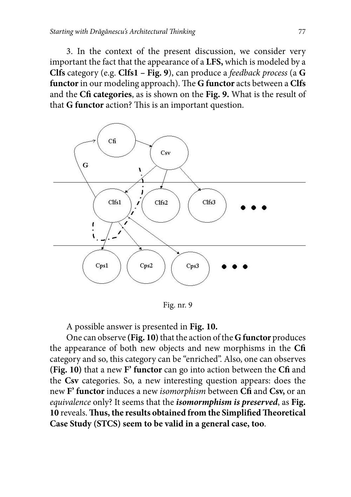3. In the context of the present discussion, we consider very important the fact that the appearance of a **LFS,** which is modeled by a **Clfs** category (e.g. **Clfs1 – Fig. 9**), can produce a *feedback process* (a **G functor** in our modeling approach). The **G** functor acts between a **Clfs** and the **Cfi categories**, as is shown on the **Fig. 9.** What is the result of that **G** functor action? This is an important question.



Fig. nr. 9

A possible answer is presented in **Fig. 10.**

One can observe **(Fig. 10)** that the action of the **G functor** produces the appearance of both new objects and new morphisms in the **Cfi**  category and so, this category can be "enriched". Also, one can observes **(Fig. 10)** that a new **F' functor** can go into action between the **Cfi** and the **Csv** categories. So, a new interesting question appears: does the new **F' functor** induces a new *isomorphism* between **Cfi** and **Csv,** or an *equivalence* only? It seems that the *isomormphism is preserved*, as **Fig.**  10 reveals. Thus, the results obtained from the Simplified Theoretical **Case Study (STCS) seem to be valid in a general case, too**.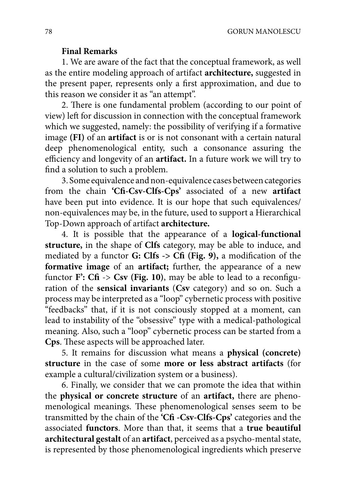#### **Final Remarks**

1. We are aware of the fact that the conceptual framework, as well as the entire modeling approach of artifact **architecture,** suggested in the present paper, represents only a first approximation, and due to this reason we consider it as "an attempt".

2. There is one fundamental problem (according to our point of view) left for discussion in connection with the conceptual framework which we suggested, namely: the possibility of verifying if a formative image **(FI)** of an **artifact** is or is not consonant with a certain natural deep phenomenological entity, such a consonance assuring the efficiency and longevity of an **artifact**. In a future work we will try to find a solution to such a problem.

3. Some equivalence and non-equivalence cases between categories from the chain **'Cfi -Csv-Clfs-Cps'** associated of a new **artifact**  have been put into evidence. It is our hope that such equivalences/ non-equivalences may be, in the future, used to support a Hierarchical Top-Down approach of artifact **architecture.**

4. It is possible that the appearance of a **logical-functional structure,** in the shape of **Clfs** category, may be able to induce, and mediated by a functor **G:** Clfs  $\rightarrow$  Cfi (Fig. 9), a modification of the **formative image** of an **artifact**; further, the appearance of a new functor  $\mathbf{F}$ :  $\mathbf{C}\mathbf{f}$   $\rightarrow$   $\mathbf{C}\mathbf{sv}$  (Fig. 10), may be able to lead to a reconfiguration of the **sensical invariants** (**Csv** category) and so on. Such a process may be interpreted as a "loop" cybernetic process with positive "feedbacks" that, if it is not consciously stopped at a moment, can lead to instability of the "obsessive" type with a medical-pathological meaning. Also, such a "loop" cybernetic process can be started from a **Cps**. These aspects will be approached later.

5. It remains for discussion what means a **physical (concrete) structure** in the case of some **more or less abstract artifacts** (for example a cultural/civilization system or a business).

6. Finally, we consider that we can promote the idea that within the **physical or concrete structure** of an **artifact,** there are phenomenological meanings. These phenomenological senses seem to be transmitted by the chain of the **'Cfi -Csv-Clfs-Cps'** categories and the associated **functors**. More than that, it seems that a **true beautiful architectural gestalt** of an **artifact**, perceived as a psycho-mental state, is represented by those phenomenological ingredients which preserve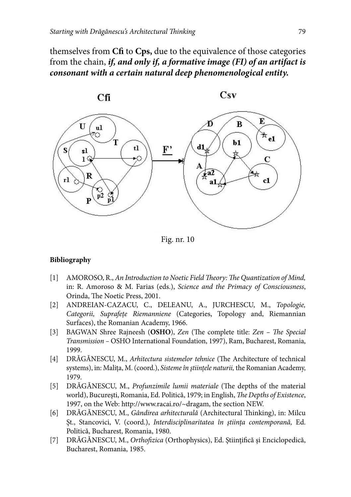themselves from **Cfi** to **Cps,** due to the equivalence of those categories from the chain, *if, and only if, a formative image (FI) of an artifact is consonant with a certain natural deep phenomenological entity.*



Fig. nr. 10

#### **Bibliography**

- [1] AMOROSO, R., *An Introduction to Noetic Field Theory: The Quantization of Mind,* in: R. Amoroso & M. Farias (eds.), *Science and the Primacy of Consciousness*, Orinda, The Noetic Press, 2001.
- [2] ANDREIAN-CAZACU, C., DELEANU, A., JURCHESCU, M., *Topologie, Categorii, Suprafeţe Riemanniene* (Categories, Topology and, Riemannian Surfaces), the Romanian Academy, 1966.
- [3] BAGWAN Shree Rajneesh (OSHO), *Zen* (The complete title: *Zen The Special Transmission –* OSHO International Foundation, 1997), Ram, Bucharest, Romania, 1999.
- [4] DRĂGĂNESCU, M., *Arhitectura sistemelor tehnice* (The Architecture of technical systems), in: Maliţa, M. (coord.), *Sisteme în ştiinţele naturii,* the Romanian Academy, 1979.
- [5] DRĂGĂNESCU, M., *Profunzimile lumii materiale* (The depths of the material world), București, Romania, Ed. Politică, 1979; in English, *The Depths of Existence*, 1997, on the Web: http://www.racai.ro/~dragam, the section NEW.
- [6] DRĂGĂNESCU, M., *Gândirea arhitecturală* (Architectural Thinking), in: Milcu Şt., Stancovici, V. (coord.), *Interdisciplinaritatea în ştiinţa contemporană,* Ed. Politică, Bucharest, Romania, 1980.
- [7] DRĂGĂNESCU, M., *Orthofizica* (Orthophysics), Ed. Științifică și Enciclopedică, Bucharest, Romania, 1985.